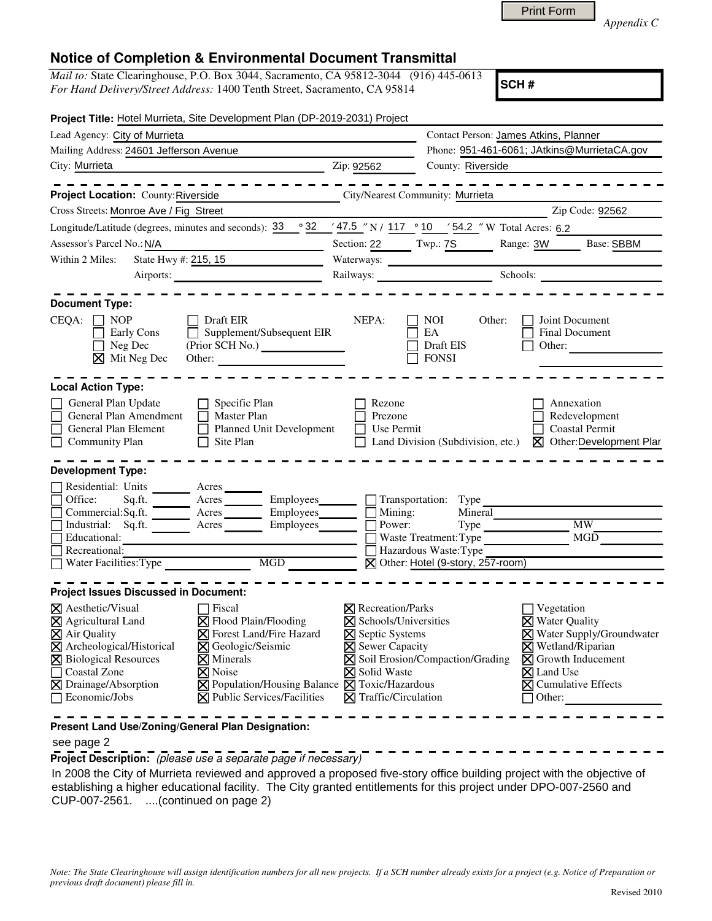| <b>Print Form</b> |
|-------------------|
|                   |

*Appendix C* 

# **Notice of Completion & Environmental Document Transmittal**

*Mail to:* State Clearinghouse, P.O. Box 3044, Sacramento, CA 95812-3044 (916) 445-0613 *For Hand Delivery/Street Address:* 1400 Tenth Street, Sacramento, CA 95814

**SCH #**

|                                                                                                                                                                                                                                 | Project Title: Hotel Murrieta, Site Development Plan (DP-2019-2031) Project                                                                                                                                                                                                                                                                                                                                                                                                                                                                                                                                     |                                                                                                                                                                         |                                                                                                 |                                                                                                                                                                                                         |
|---------------------------------------------------------------------------------------------------------------------------------------------------------------------------------------------------------------------------------|-----------------------------------------------------------------------------------------------------------------------------------------------------------------------------------------------------------------------------------------------------------------------------------------------------------------------------------------------------------------------------------------------------------------------------------------------------------------------------------------------------------------------------------------------------------------------------------------------------------------|-------------------------------------------------------------------------------------------------------------------------------------------------------------------------|-------------------------------------------------------------------------------------------------|---------------------------------------------------------------------------------------------------------------------------------------------------------------------------------------------------------|
| Lead Agency: City of Murrieta                                                                                                                                                                                                   |                                                                                                                                                                                                                                                                                                                                                                                                                                                                                                                                                                                                                 |                                                                                                                                                                         | Contact Person: James Atkins, Planner                                                           |                                                                                                                                                                                                         |
| Mailing Address: 24601 Jefferson Avenue                                                                                                                                                                                         |                                                                                                                                                                                                                                                                                                                                                                                                                                                                                                                                                                                                                 |                                                                                                                                                                         |                                                                                                 | Phone: 951-461-6061; JAtkins@MurrietaCA.gov                                                                                                                                                             |
| City: Murrieta<br>the contract of the contract of the contract of the contract of the contract of                                                                                                                               |                                                                                                                                                                                                                                                                                                                                                                                                                                                                                                                                                                                                                 | Zip: 92562                                                                                                                                                              | County: Riverside                                                                               |                                                                                                                                                                                                         |
|                                                                                                                                                                                                                                 |                                                                                                                                                                                                                                                                                                                                                                                                                                                                                                                                                                                                                 |                                                                                                                                                                         |                                                                                                 |                                                                                                                                                                                                         |
| Project Location: County: Riverside                                                                                                                                                                                             | <u> 1990 - Johann Barbara, martin a</u>                                                                                                                                                                                                                                                                                                                                                                                                                                                                                                                                                                         |                                                                                                                                                                         | City/Nearest Community: Murrieta                                                                |                                                                                                                                                                                                         |
| Cross Streets: Monroe Ave / Fig Street                                                                                                                                                                                          |                                                                                                                                                                                                                                                                                                                                                                                                                                                                                                                                                                                                                 |                                                                                                                                                                         |                                                                                                 | Zip Code: 92562                                                                                                                                                                                         |
|                                                                                                                                                                                                                                 | Longitude/Latitude (degrees, minutes and seconds): $33^\circ$ $32^\circ$ $47.5''$ N / $117^\circ$ $10^\circ$ $54.2''$ W Total Acres: 6.2                                                                                                                                                                                                                                                                                                                                                                                                                                                                        |                                                                                                                                                                         |                                                                                                 |                                                                                                                                                                                                         |
| Assessor's Parcel No.: N/A                                                                                                                                                                                                      |                                                                                                                                                                                                                                                                                                                                                                                                                                                                                                                                                                                                                 |                                                                                                                                                                         |                                                                                                 | Section: 22 Twp.: 7S Range: 3W Base: SBBM                                                                                                                                                               |
| State Hwy #: 215, 15<br>Within 2 Miles:                                                                                                                                                                                         |                                                                                                                                                                                                                                                                                                                                                                                                                                                                                                                                                                                                                 |                                                                                                                                                                         |                                                                                                 |                                                                                                                                                                                                         |
|                                                                                                                                                                                                                                 |                                                                                                                                                                                                                                                                                                                                                                                                                                                                                                                                                                                                                 |                                                                                                                                                                         |                                                                                                 | Schools:                                                                                                                                                                                                |
| <b>Document Type:</b><br>$CEQA: \Box NP$                                                                                                                                                                                        | Draft EIR                                                                                                                                                                                                                                                                                                                                                                                                                                                                                                                                                                                                       | NEPA:                                                                                                                                                                   | NOI<br>Other:                                                                                   | Joint Document                                                                                                                                                                                          |
| Early Cons<br>Neg Dec<br>$\times$ Mit Neg Dec                                                                                                                                                                                   | $\mathcal{L}_{\mathcal{A}}$<br>Supplement/Subsequent EIR<br>Other:                                                                                                                                                                                                                                                                                                                                                                                                                                                                                                                                              |                                                                                                                                                                         | EA<br>Draft EIS<br><b>FONSI</b>                                                                 | Final Document<br>Other:                                                                                                                                                                                |
| <b>Local Action Type:</b>                                                                                                                                                                                                       |                                                                                                                                                                                                                                                                                                                                                                                                                                                                                                                                                                                                                 |                                                                                                                                                                         |                                                                                                 |                                                                                                                                                                                                         |
| General Plan Update<br>General Plan Amendment<br>General Plan Element<br>П<br><b>Community Plan</b>                                                                                                                             | $\Box$ Specific Plan<br>$\Box$ Master Plan<br>Planned Unit Development<br>$\Box$ Site Plan                                                                                                                                                                                                                                                                                                                                                                                                                                                                                                                      | Rezone<br>Prezone<br>Use Permit                                                                                                                                         | Land Division (Subdivision, etc.)                                                               | Annexation<br>Redevelopment<br><b>Coastal Permit</b><br>■ Other:Development Plar                                                                                                                        |
| <b>Development Type:</b>                                                                                                                                                                                                        |                                                                                                                                                                                                                                                                                                                                                                                                                                                                                                                                                                                                                 |                                                                                                                                                                         |                                                                                                 |                                                                                                                                                                                                         |
| Industrial: Sq.ft. Acres<br>Educational:<br>Recreational:                                                                                                                                                                       | Residential: Units<br>Office: Sq.ft. _______ Acres<br>Acres<br>Employees______ __ Transportation: Type<br>$Commercial: \overline{Sq}. \overline{ft}.$ $\overline{\phantom{ff}}$ $\overline{\phantom{ff}}$ $\overline{\phantom{ff}}$ $\overline{\phantom{ff}}$ $\overline{\phantom{ff}}$ $\overline{\phantom{ff}}$ $\overline{\phantom{ff}}$ $\overline{\phantom{ff}}$ $\overline{\phantom{ff}}$ $\overline{\phantom{ff}}$ $\overline{\phantom{ff}}$ $\overline{\phantom{ff}}$ $\overline{\phantom{ff}}$ $\overline{\phantom{ff}}$ $\overline{\phantom{ff}}$ $\overline{\phantom{ff}}$ $\overline{\phantom{ff}}$ | Power:                                                                                                                                                                  | Mineral<br>Waste Treatment: Type<br>Hazardous Waste: Type<br>⊠ Other: Hotel (9-story, 257-room) | MW<br>$Type \_$<br>MGD                                                                                                                                                                                  |
| <b>Project Issues Discussed in Document:</b>                                                                                                                                                                                    |                                                                                                                                                                                                                                                                                                                                                                                                                                                                                                                                                                                                                 |                                                                                                                                                                         |                                                                                                 |                                                                                                                                                                                                         |
| $\boxtimes$ Aesthetic/Visual<br>⊠ Agricultural Land<br>$\overline{\boxtimes}$ Air Quality<br>$\boxtimes$ Archeological/Historical<br><b>X</b> Biological Resources<br>Coastal Zone<br>Drainage/Absorption<br>区<br>Economic/Jobs | $\Box$ Fiscal<br>⊠ Flood Plain/Flooding<br><b>X</b> Forest Land/Fire Hazard<br><b>X</b> Geologic/Seismic<br>$\times$ Minerals<br>$\times$ Noise<br>$\boxtimes$ Population/Housing Balance $\boxtimes$ Toxic/Hazardous<br><b>X</b> Public Services/Facilities                                                                                                                                                                                                                                                                                                                                                    | $\boxtimes$ Recreation/Parks<br><b>⊠</b> Schools/Universities<br>⊠ Septic Systems<br>$\times$ Sewer Capacity<br><b>X</b> Solid Waste<br>$\boxtimes$ Traffic/Circulation | X Soil Erosion/Compaction/Grading                                                               | Vegetation<br>$\times$ Water Quality<br>X Water Supply/Groundwater<br>$\boxtimes$ Wetland/Riparian<br>$\boxtimes$ Growth Inducement<br>$\boxtimes$ Land Use<br>$\boxtimes$ Cumulative Effects<br>Other: |
| Present Land Use/Zoning/General Plan Designation:                                                                                                                                                                               |                                                                                                                                                                                                                                                                                                                                                                                                                                                                                                                                                                                                                 |                                                                                                                                                                         |                                                                                                 |                                                                                                                                                                                                         |

#### see page 2

**Project Description:** (please use a separate page if necessary)

 In 2008 the City of Murrieta reviewed and approved a proposed five-story office building project with the objective of establishing a higher educational facility. The City granted entitlements for this project under DPO-007-2560 and CUP-007-2561. ....(continued on page 2)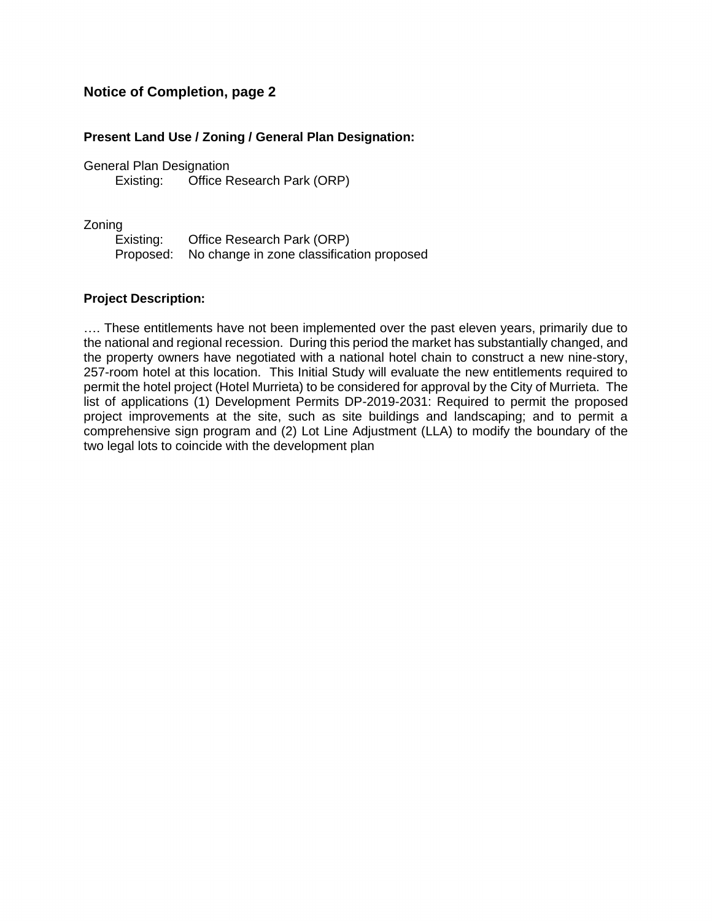# **Notice of Completion, page 2**

### **Present Land Use / Zoning / General Plan Designation:**

General Plan Designation Existing: Office Research Park (ORP)

Zoning

Existing: Office Research Park (ORP) Proposed: No change in zone classification proposed

#### **Project Description:**

…. These entitlements have not been implemented over the past eleven years, primarily due to the national and regional recession. During this period the market has substantially changed, and the property owners have negotiated with a national hotel chain to construct a new nine-story, 257-room hotel at this location. This Initial Study will evaluate the new entitlements required to permit the hotel project (Hotel Murrieta) to be considered for approval by the City of Murrieta. The list of applications (1) Development Permits DP-2019-2031: Required to permit the proposed project improvements at the site, such as site buildings and landscaping; and to permit a comprehensive sign program and (2) Lot Line Adjustment (LLA) to modify the boundary of the two legal lots to coincide with the development plan